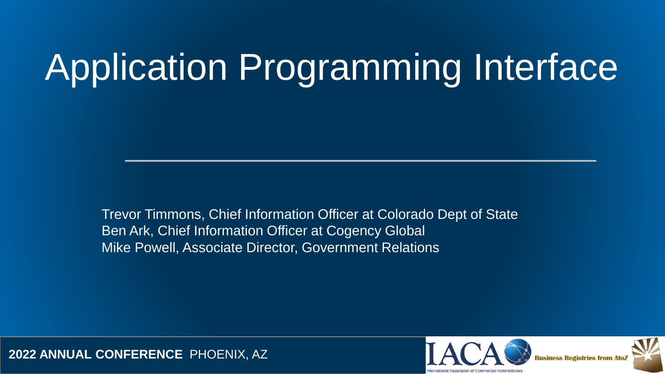# Application Programming Interface

Trevor Timmons, Chief Information Officer at Colorado Dept of State Ben Ark, Chief Information Officer at Cogency Global Mike Powell, Associate Director, Government Relations



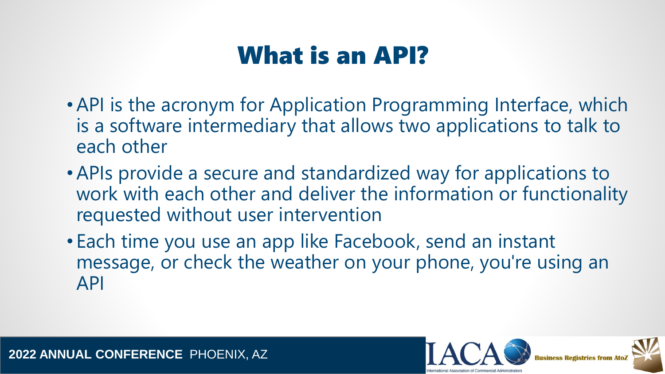# What is an API?

- •API is the acronym for Application Programming Interface, which is a software intermediary that allows two applications to talk to each other
- •APIs provide a secure and standardized way for applications to work with each other and deliver the information or functionality requested without user intervention
- Each time you use an app like Facebook, send an instant message, or check the weather on your phone, you're using an API

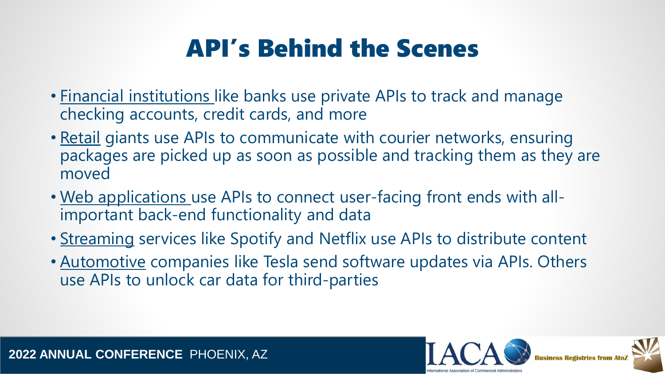# API's Behind the Scenes

- Financial institutions like banks use private APIs to track and manage checking accounts, credit cards, and more
- Retail giants use APIs to communicate with courier networks, ensuring packages are picked up as soon as possible and tracking them as they are moved
- Web applications use APIs to connect user-facing front ends with allimportant back-end functionality and data
- Streaming services like Spotify and Netflix use APIs to distribute content
- Automotive companies like Tesla send software updates via APIs. Others use APIs to unlock car data for third-parties

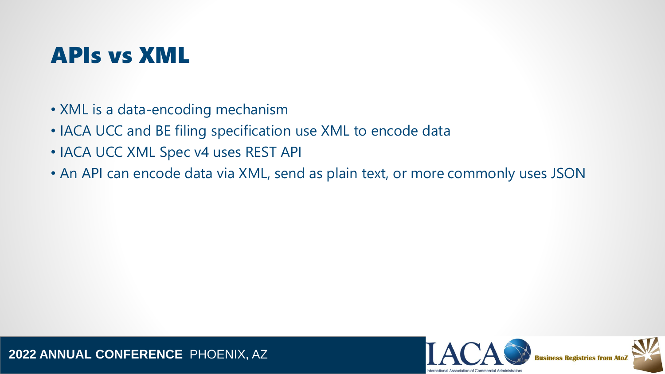#### APIs vs XML

- XML is a data-encoding mechanism
- IACA UCC and BE filing specification use XML to encode data
- IACA UCC XML Spec v4 uses REST API
- An API can encode data via XML, send as plain text, or more commonly uses JSON

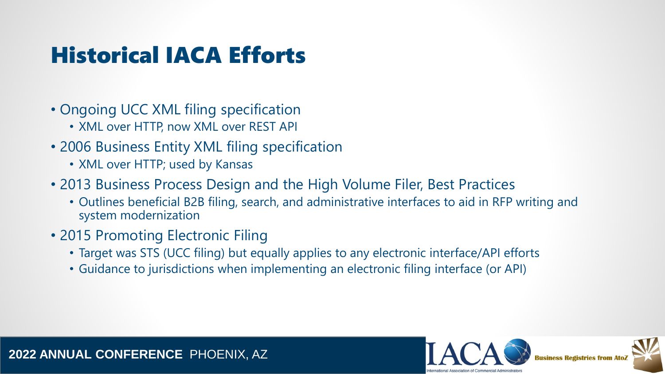### Historical IACA Efforts

- Ongoing UCC XML filing specification
	- XML over HTTP, now XML over REST API
- 2006 Business Entity XML filing specification
	- XML over HTTP; used by Kansas
- 2013 Business Process Design and the High Volume Filer, Best Practices
	- Outlines beneficial B2B filing, search, and administrative interfaces to aid in RFP writing and system modernization
- 2015 Promoting Electronic Filing
	- Target was STS (UCC filing) but equally applies to any electronic interface/API efforts
	- Guidance to jurisdictions when implementing an electronic filing interface (or API)

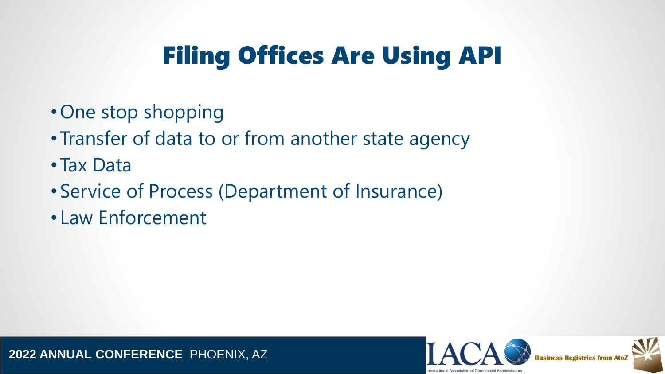# Filing Offices Are Using API

- One stop shopping
- Transfer of data to or from another state agency
- Tax Data
- Service of Process (Department of Insurance)
- Law Enforcement

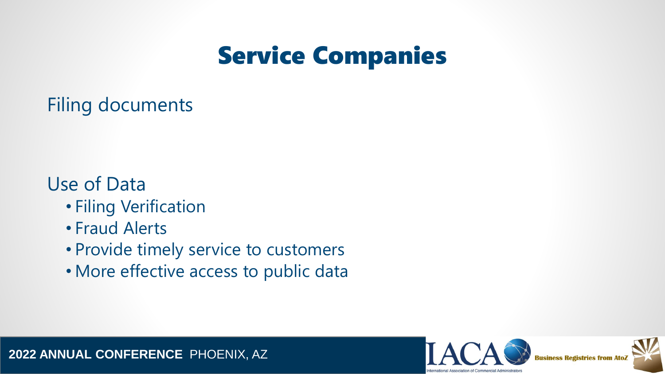# Service Companies

Filing documents

#### Use of Data

- Filing Verification
- Fraud Alerts
- Provide timely service to customers
- More effective access to public data

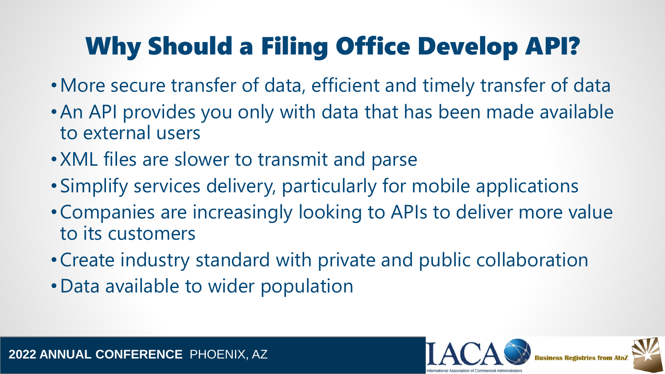# Why Should a Filing Office Develop API?

- •More secure transfer of data, efficient and timely transfer of data
- •An API provides you only with data that has been made available to external users
- XML files are slower to transmit and parse
- Simplify services delivery, particularly for mobile applications
- •Companies are increasingly looking to APIs to deliver more value to its customers
- •Create industry standard with private and public collaboration
- •Data available to wider population

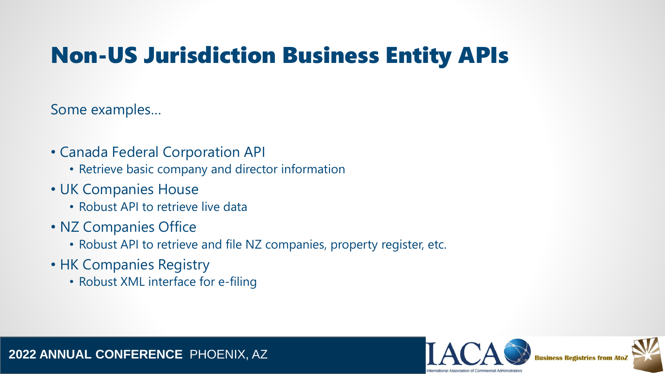### Non-US Jurisdiction Business Entity APIs

Some examples…

- Canada Federal Corporation API
	- Retrieve basic company and director information
- UK Companies House
	- Robust API to retrieve live data
- NZ Companies Office
	- Robust API to retrieve and file NZ companies, property register, etc.
- HK Companies Registry
	- Robust XML interface for e-filing

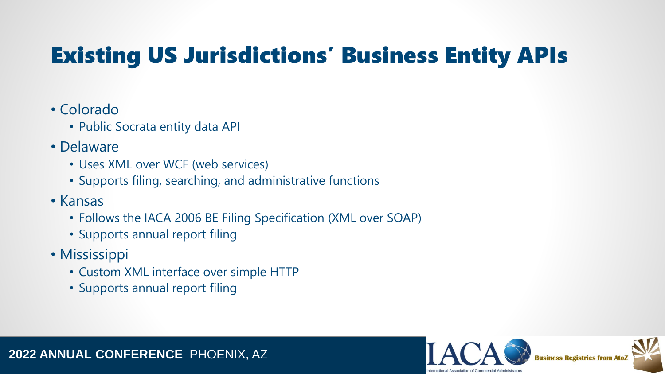# Existing US Jurisdictions' Business Entity APIs

#### • Colorado

- Public Socrata entity data API
- Delaware
	- Uses XML over WCF (web services)
	- Supports filing, searching, and administrative functions
- Kansas
	- Follows the IACA 2006 BE Filing Specification (XML over SOAP)
	- Supports annual report filing
- Mississippi
	- Custom XML interface over simple HTTP
	- Supports annual report filing

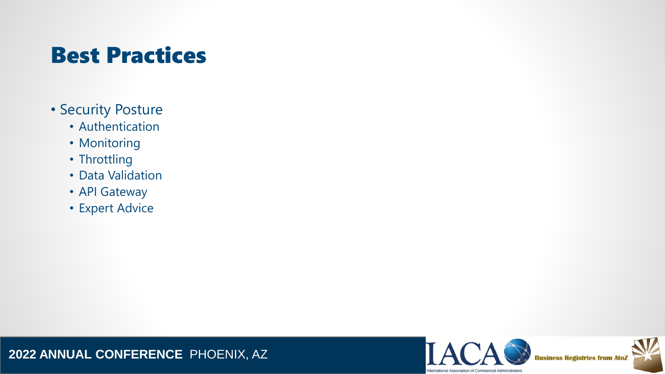### Best Practices

- Security Posture
	- Authentication
	- Monitoring
	- Throttling
	- Data Validation
	- API Gateway
	- Expert Advice



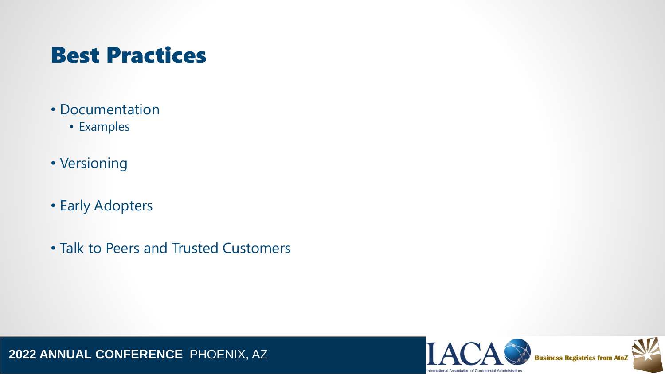#### Best Practices

- Documentation
	- Examples
- Versioning
- Early Adopters
- Talk to Peers and Trusted Customers



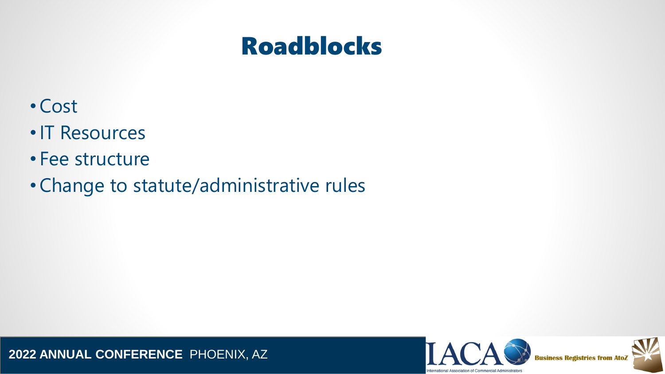### Roadblocks

- •Cost
- •IT Resources
- Fee structure
- •Change to statute/administrative rules



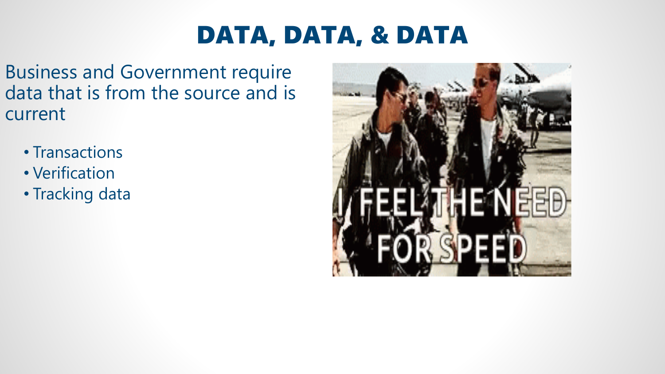# DATA, DATA, & DATA

- Business and Government require data that is from the source and is current
	- Transactions
	- Verification
	- Tracking data

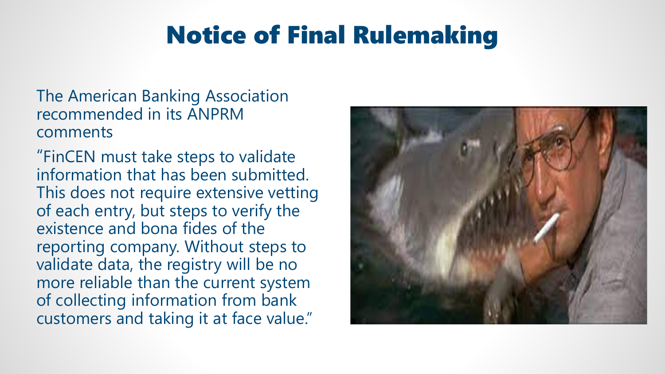# Notice of Final Rulemaking

The American Banking Association recommended in its ANPRM comments

"FinCEN must take steps to validate information that has been submitted. This does not require extensive vetting of each entry, but steps to verify the existence and bona fides of the reporting company. Without steps to validate data, the registry will be no more reliable than the current system of collecting information from bank customers and taking it at face value."

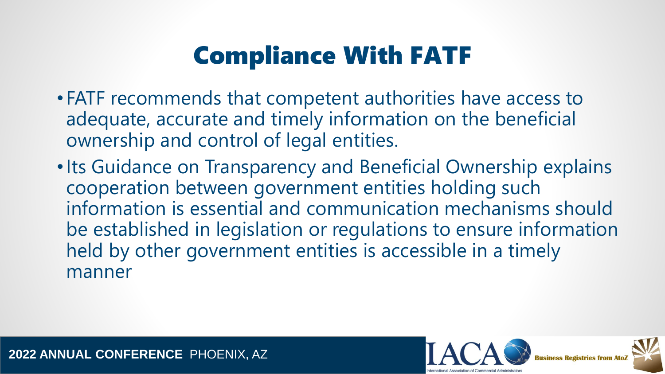# Compliance With FATF

- FATF recommends that competent authorities have access to adequate, accurate and timely information on the beneficial ownership and control of legal entities.
- •Its Guidance on Transparency and Beneficial Ownership explains cooperation between government entities holding such information is essential and communication mechanisms should be established in legislation or regulations to ensure information held by other government entities is accessible in a timely manner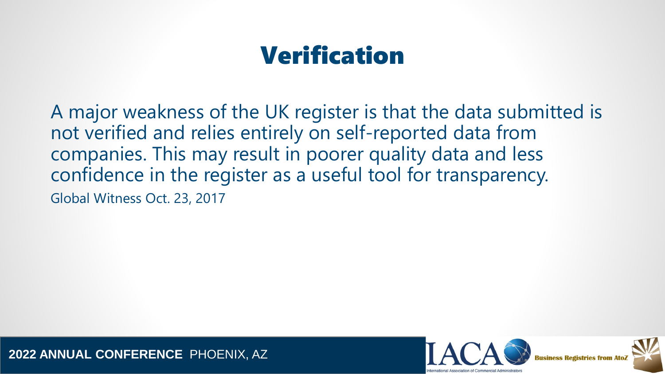# Verification

A major weakness of the UK register is that the data submitted is not verified and relies entirely on self-reported data from companies. This may result in poorer quality data and less confidence in the register as a useful tool for transparency. Global Witness Oct. 23, 2017

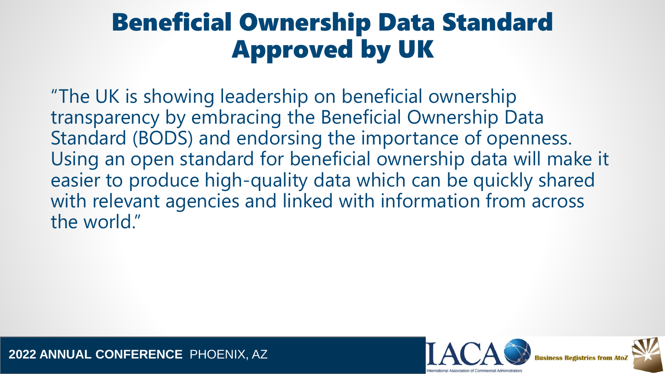# Beneficial Ownership Data Standard Approved by UK

"The UK is showing leadership on beneficial ownership transparency by embracing the Beneficial Ownership Data Standard (BODS) and endorsing the importance of openness. Using an open standard for beneficial ownership data will make it easier to produce high-quality data which can be quickly shared with relevant agencies and linked with information from across the world."

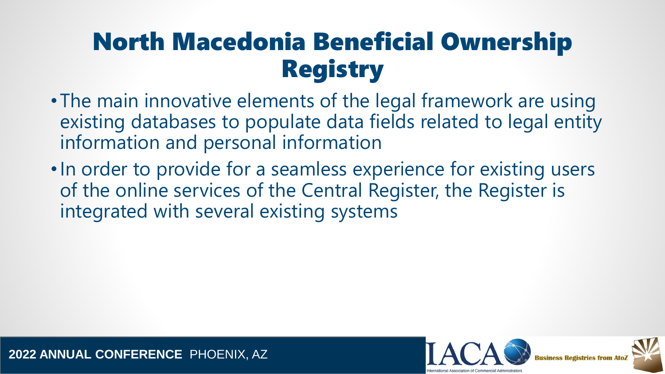# North Macedonia Beneficial Ownership Registry

- The main innovative elements of the legal framework are using existing databases to populate data fields related to legal entity information and personal information
- •In order to provide for a seamless experience for existing users of the online services of the Central Register, the Register is integrated with several existing systems